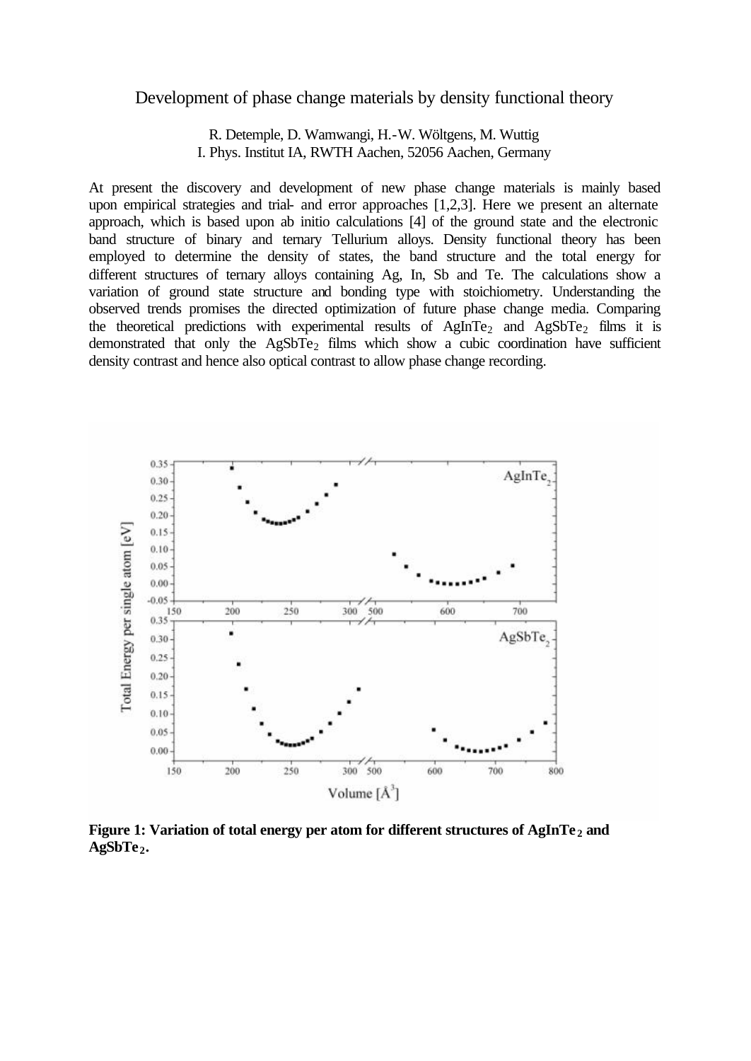## Development of phase change materials by density functional theory

R. Detemple, D. Wamwangi, H.-W. Wöltgens, M. Wuttig I. Phys. Institut IA, RWTH Aachen, 52056 Aachen, Germany

At present the discovery and development of new phase change materials is mainly based upon empirical strategies and trial- and error approaches [1,2,3]. Here we present an alternate approach, which is based upon ab initio calculations [4] of the ground state and the electronic band structure of binary and ternary Tellurium alloys. Density functional theory has been employed to determine the density of states, the band structure and the total energy for different structures of ternary alloys containing Ag, In, Sb and Te. The calculations show a variation of ground state structure and bonding type with stoichiometry. Understanding the observed trends promises the directed optimization of future phase change media. Comparing the theoretical predictions with experimental results of  $AgInTe<sub>2</sub>$  and  $AgSbTe<sub>2</sub>$  films it is demonstrated that only the  $AgSbTe<sub>2</sub>$  films which show a cubic coordination have sufficient density contrast and hence also optical contrast to allow phase change recording.



**Figure 1: Variation of total energy per atom for different structures of AgInTe <sup>2</sup> and AgSbTe <sup>2</sup>.**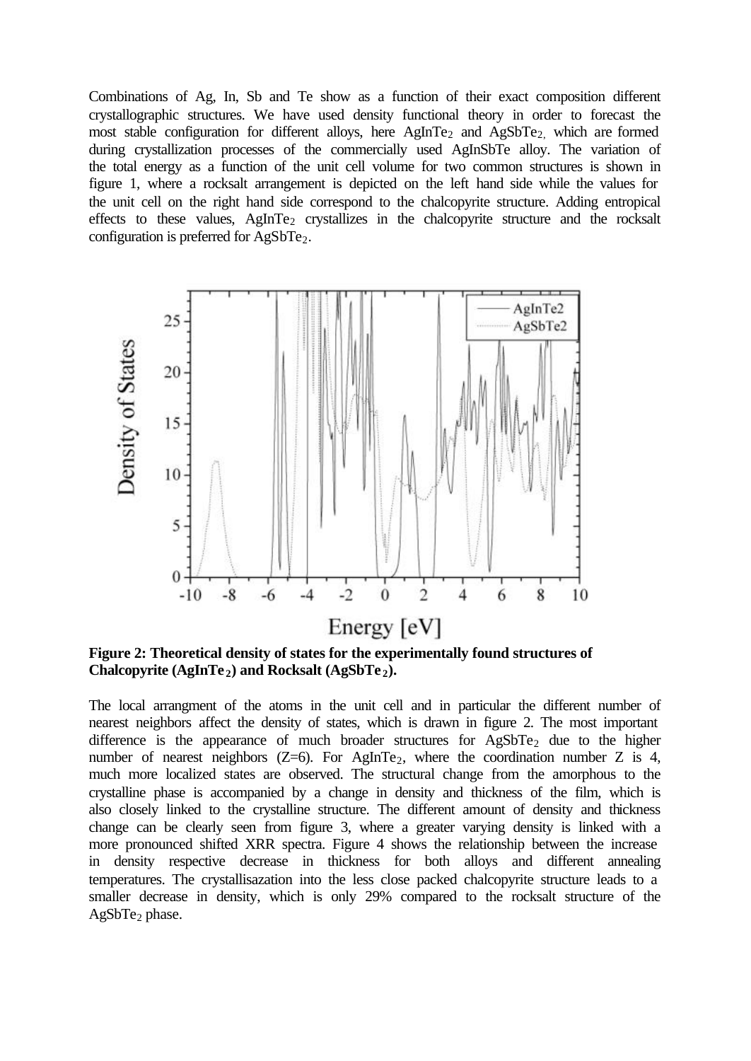Combinations of Ag, In, Sb and Te show as a function of their exact composition different crystallographic structures. We have used density functional theory in order to forecast the most stable configuration for different alloys, here AgInTe<sub>2</sub> and AgSbTe<sub>2</sub>, which are formed during crystallization processes of the commercially used AgInSbTe alloy. The variation of the total energy as a function of the unit cell volume for two common structures is shown in figure 1, where a rocksalt arrangement is depicted on the left hand side while the values for the unit cell on the right hand side correspond to the chalcopyrite structure. Adding entropical effects to these values,  $AgInTe<sub>2</sub>$  crystallizes in the chalcopyrite structure and the rocksalt configuration is preferred for  $AgSbTe<sub>2</sub>$ .



**Figure 2: Theoretical density of states for the experimentally found structures of Chalcopyrite (AgInTe <sup>2</sup>) and Rocksalt (AgSbTe <sup>2</sup>).**

The local arrangment of the atoms in the unit cell and in particular the different number of nearest neighbors affect the density of states, which is drawn in figure 2. The most important difference is the appearance of much broader structures for  $AgSbTe<sub>2</sub>$  due to the higher number of nearest neighbors  $(Z=6)$ . For AgInTe<sub>2</sub>, where the coordination number Z is 4, much more localized states are observed. The structural change from the amorphous to the crystalline phase is accompanied by a change in density and thickness of the film, which is also closely linked to the crystalline structure. The different amount of density and thickness change can be clearly seen from figure 3, where a greater varying density is linked with a more pronounced shifted XRR spectra. Figure 4 shows the relationship between the increase in density respective decrease in thickness for both alloys and different annealing temperatures. The crystallisazation into the less close packed chalcopyrite structure leads to a smaller decrease in density, which is only 29% compared to the rocksalt structure of the  $AgSbTe<sub>2</sub> phase.$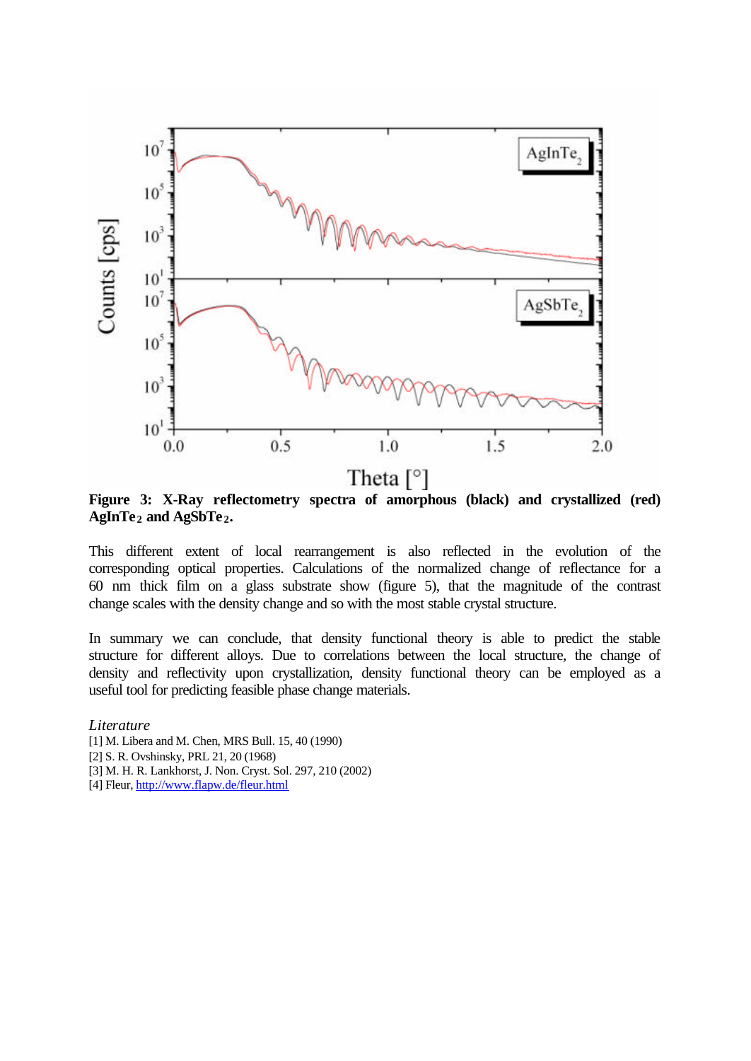

**Figure 3: X-Ray reflectometry spectra of amorphous (black) and crystallized (red) AgInTe <sup>2</sup> and AgSbTe <sup>2</sup>.**

This different extent of local rearrangement is also reflected in the evolution of the corresponding optical properties. Calculations of the normalized change of reflectance for a 60 nm thick film on a glass substrate show (figure 5), that the magnitude of the contrast change scales with the density change and so with the most stable crystal structure.

In summary we can conclude, that density functional theory is able to predict the stable structure for different alloys. Due to correlations between the local structure, the change of density and reflectivity upon crystallization, density functional theory can be employed as a useful tool for predicting feasible phase change materials.

*Literature* [1] M. Libera and M. Chen, MRS Bull. 15, 40 (1990) [2] S. R. Ovshinsky, PRL 21, 20 (1968) [3] M. H. R. Lankhorst, J. Non. Cryst. Sol. 297, 210 (2002) [4] Fleur, http://www.flapw.de/fleur.html